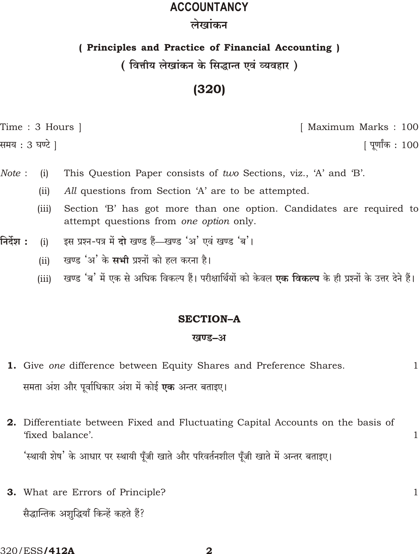# **ACCOUNTANCY** लेखांकन

### (Principles and Practice of Financial Accounting)

## ( वित्तीय लेखांकन के सिद्धान्त एवं व्यवहार )

# $(320)$

Time: 3 Hours 1

समय : 3 घण्टे ]

[ Maximum Marks: 100

[ पूर्णांक : 100

 $\mathbf{1}$ 

 $\mathbf{1}$ 

 $\mathbf{1}$ 

- Note: This Question Paper consists of two Sections, viz., 'A' and 'B'.  $(i)$ 
	- All questions from Section 'A' are to be attempted.  $(ii)$
	- Section 'B' has got more than one option. Candidates are required to  $(iii)$ attempt questions from one option only.
- निर्देश : इस प्रश्न-पत्र में दो खण्ड हैं—खण्ड 'अ' एवं खण्ड 'ब'।  $(i)$ 
	- खण्ड 'अ' के **सभी** प्रश्नों को हल करना है।  $(ii)$
	- खण्ड 'ब' में एक से अधिक विकल्प हैं। परीक्षार्थियों को केवल **एक विकल्प** के ही प्रश्नों के उत्तर देने हैं।  $(iii)$

### **SECTION-A**

#### खण्ड-अ

- 1. Give one difference between Equity Shares and Preference Shares. समता अंश और पूर्वाधिकार अंश में कोई **एक** अन्तर बताइए।
- 2. Differentiate between Fixed and Fluctuating Capital Accounts on the basis of 'fixed halance' 'स्थायी शेष' के आधार पर स्थायी पूँजी खाते और परिवर्तनशील पूँजी खाते में अन्तर बताइए।
- **3.** What are Errors of Principle? सैद्धान्तिक अशद्धियाँ किन्हें कहते हैं?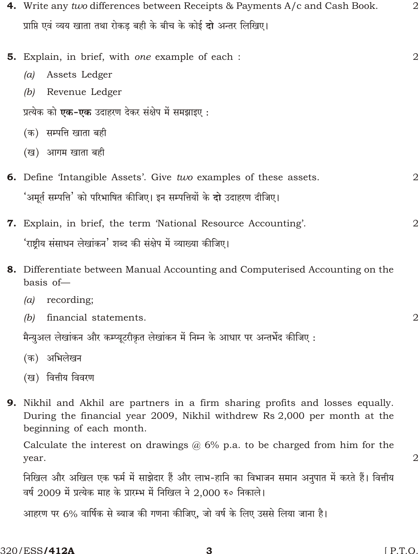| 4. Write any two differences between Receipts & Payments A/c and Cash Book.                                                                                                             | $\overline{2}$ |
|-----------------------------------------------------------------------------------------------------------------------------------------------------------------------------------------|----------------|
| प्राप्ति एवं व्यय खाता तथा रोकड़ बही के बीच के कोई <b>दो</b> अन्तर लिखिए।                                                                                                               |                |
| <b>5.</b> Explain, in brief, with one example of each :                                                                                                                                 | 2              |
| Assets Ledger<br>(a)                                                                                                                                                                    |                |
| Revenue Ledger<br>(b)                                                                                                                                                                   |                |
| प्रत्येक को <b>एक-एक</b> उदाहरण देकर संक्षेप में समझाइए :                                                                                                                               |                |
| (क) सम्पत्ति खाता बही                                                                                                                                                                   |                |
| (ख) आगम खाता बही                                                                                                                                                                        |                |
| 6. Define 'Intangible Assets'. Give two examples of these assets.                                                                                                                       | 2              |
| 'अमूर्त सम्पत्ति' को परिभाषित कीजिए। इन सम्पत्तियों के <b>दो</b> उदाहरण दीजिए।                                                                                                          |                |
| <b>7.</b> Explain, in brief, the term 'National Resource Accounting'.                                                                                                                   | 2              |
| 'राष्ट्रीय संसाधन लेखांकन' शब्द की संक्षेप में व्याख्या कीजिए।                                                                                                                          |                |
| <b>8.</b> Differentiate between Manual Accounting and Computerised Accounting on the<br>basis of-                                                                                       |                |
| recording;<br>(a)                                                                                                                                                                       |                |
| financial statements.<br>(b)                                                                                                                                                            | 2              |
| मैन्युअल लेखांकन और कम्प्यूटरीकृत लेखांकन में निम्न के आधार पर अन्तर्भेद कीजिए :                                                                                                        |                |
| (क) अभिलेखन                                                                                                                                                                             |                |
| (ख) वित्तीय विवरण                                                                                                                                                                       |                |
| 9. Nikhil and Akhil are partners in a firm sharing profits and losses equally.<br>During the financial year 2009, Nikhil withdrew Rs 2,000 per month at the<br>beginning of each month. |                |
| Calculate the interest on drawings $@6\%$ p.a. to be charged from him for the<br>year.                                                                                                  | 2              |
| निखिल और अखिल एक फर्म में साझेदार हैं और लाभ-हानि का विभाजन समान अनुपात में करते हैं। वित्तीय<br>वर्ष 2009 में प्रत्येक माह के प्रारम्भ में निखिल ने 2,000 रु० निकाले।                  |                |

आहरण पर 6% वार्षिक से ब्याज की गणना कीजिए, जो वर्ष के लिए उससे लिया जाना है।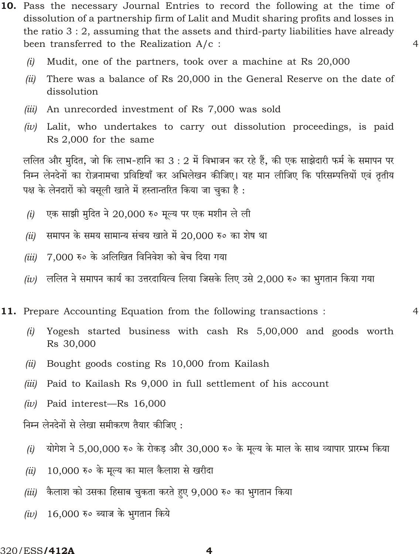- 10. Pass the necessary Journal Entries to record the following at the time of dissolution of a partnership firm of Lalit and Mudit sharing profits and losses in the ratio  $3:2$ , assuming that the assets and third-party liabilities have already been transferred to the Realization  $A/c$ :
	- $(i)$ Mudit, one of the partners, took over a machine at Rs 20,000
	- $(ii)$ There was a balance of Rs 20,000 in the General Reserve on the date of dissolution

 $\overline{4}$ 

 $\overline{4}$ 

- *(iii)* An unrecorded investment of Rs 7,000 was sold
- $(iv)$  Lalit, who undertakes to carry out dissolution proceedings, is paid Rs 2,000 for the same

ललित और मुदित, जो कि लाभ-हानि का 3 : 2 में विभाजन कर रहे हैं, की एक साझेदारी फर्म के समापन पर निम्न लेनदेनों का रोज़नामचा प्रविष्टियाँ कर अभिलेखन कीजिए। यह मान लीजिए कि परिसम्पत्तियों एवं तृतीय पक्ष के लेनदारों को वसूली खाते में हस्तान्तरित किया जा चुका है:

- एक साझी मुदित ने 20,000 रु० मूल्य पर एक मशीन ले ली  $(i)$
- समापन के समय सामान्य संचय खाते में 20,000 रु० का शेष था  $(ii)$
- 7,000 रु० के अलिखित विनिवेश को बेच दिया गया  $(iii)$
- (iv) ललित ने समापन कार्य का उत्तरदायित्व लिया जिसके लिए उसे 2,000 रु० का भुगतान किया गया
- 11. Prepare Accounting Equation from the following transactions:
	- Yogesh started business with cash Rs 5,00,000 and goods worth  $(i)$ Rs 30,000
	- Bought goods costing Rs 10,000 from Kailash (ii)
	- $(iii)$ Paid to Kailash Rs 9,000 in full settlement of his account
	- Paid interest-Rs 16,000  $(iv)$

निम्न लेनदेनों से लेखा समीकरण तैयार कीजिए:

- योगेश ने 5,00,000 रु० के रोकड़ और 30,000 रु० के मूल्य के माल के साथ व्यापार प्रारम्भ किया  $(i)$
- 10,000 रु० के मूल्य का माल कैलाश से खरीदा  $(ii)$
- कैलाश को उसका हिसाब चुकता करते हुए 9,000 रु० का भुगतान किया  $(iii)$
- 16,000 रु० ब्याज के भुगतान किये  $(iv)$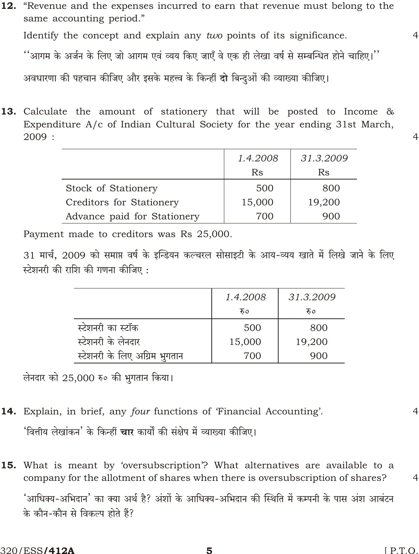12. "Revenue and the expenses incurred to earn that revenue must belong to the same accounting period." Identify the concept and explain any two points of its significance.

''आगम के अर्जन के लिए जो आगम एवं व्यय किए जाएँ वे एक ही लेखा वर्ष से सम्बन्धित होने चाहिए।''

अवधारणा की पहचान कीजिए और इसके महत्त्व के किन्हीं दो बिन्दुओं की व्याख्या कीजिए।

13. Calculate the amount of stationery that will be posted to Income & Expenditure A/c of Indian Cultural Society for the year ending 31st March,  $2009:$ 

|                             | 1.4.2008 | 31.3.2009 |
|-----------------------------|----------|-----------|
|                             | Rs       | Rs        |
| Stock of Stationery         | 500      | 800       |
| Creditors for Stationery    | 15,000   | 19,200    |
| Advance paid for Stationery | 700      | 900       |

Payment made to creditors was Rs 25,000.

31 मार्च, 2009 को समाप्त वर्ष के इन्डियन कल्चरल सोसाइटी के आय-व्यय खाते में लिखे जाने के लिए स्टेशनरी की राशि की गणना कीजिए :

|                               | 1.4.2008 | 31.3.2009 |
|-------------------------------|----------|-----------|
|                               | रु०      | रु०       |
| स्टेशनरी का स्टॉक             | 500      | 800       |
| स्टेशनरी के लेनदार            | 15,000   | 19,200    |
| स्टेशनरी के लिए अग्रिम भुगतान | 700      | 900       |

लेनदार को 25,000 रु० की भुगतान किया।

**14.** Explain, in brief, any *four* functions of 'Financial Accounting'.

'वित्तीय लेखांकन' के किन्हीं **चार** कार्यों की संक्षेप में व्याख्या कीजिए।

**15.** What is meant by 'oversubscription'? What alternatives are available to a company for the allotment of shares when there is oversubscription of shares?

'आधिक्य-अभिदान' का क्या अर्थ है? अंशों के आधिक्य-अभिदान की स्थिति में कम्पनी के पास अंश आबंटन के कौन-कौन से विकल्प होते हैं?

 $\overline{4}$ 

 $\overline{4}$ 

 $\overline{4}$ 

 $\overline{4}$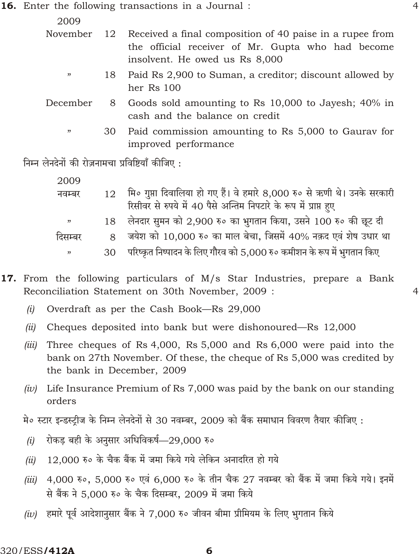**16.** Enter the following transactions in a Journal :

2009

|    |                                                            | November 12 Received a final composition of 40 paise in a rupee from |  |  |  |  |  |
|----|------------------------------------------------------------|----------------------------------------------------------------------|--|--|--|--|--|
|    |                                                            | the official receiver of Mr. Gupta who had become                    |  |  |  |  |  |
|    |                                                            | insolvent. He owed us Rs 8,000                                       |  |  |  |  |  |
| 22 | 18 Paid Rs 2,900 to Suman, a creditor; discount allowed by |                                                                      |  |  |  |  |  |
|    | her Rs 100                                                 |                                                                      |  |  |  |  |  |

- December 8 Goods sold amounting to Rs 10,000 to Jayesh; 40% in cash and the balance on credit
	- 30 Paid commission amounting to Rs 5,000 to Gaurav for improved performance

निम्न लेनदेनों की रोज़नामचा प्रविष्टियाँ कीजिए :

| 2009    |    |                                                                          |
|---------|----|--------------------------------------------------------------------------|
| नवम्बर  | 12 | मि० गुप्ता दिवालिया हो गए हैं। वे हमारे 8,000 रु० से ऋणी थे। उनके सरकारी |
|         |    | रिसीवर से रुपये में 40 पैसे अन्तिम निपटारे के रूप में प्राप्त हुए        |
| , 22    |    | 18 लेनदार सुमन को 2,900 रु० का भुगतान किया, उसने 100 रु० की छूट दी       |
| दिसम्बर |    | 8 जयेश को 10,000 रु० का माल बेचा, जिसमें 40% नक़द एवं शेष उधार था        |
| , 22    | 30 | परिष्कृत निष्पादन के लिए गौरव को 5,000 रु० कमीशन के रूप में भुगतान किए   |

- 17. From the following particulars of M/s Star Industries, prepare a Bank Reconciliation Statement on 30th November, 2009 :
	- $(i)$ Overdraft as per the Cash Book—Rs 29,000
	- $(ii)$ Cheques deposited into bank but were dishonoured—Rs 12,000
	- Three cheques of Rs 4,000, Rs 5,000 and Rs 6,000 were paid into the  $(iii)$ bank on 27th November. Of these, the cheque of Rs 5,000 was credited by the bank in December, 2009
	- (iv) Life Insurance Premium of Rs  $7,000$  was paid by the bank on our standing orders

मे० स्टार इन्डस्ट्रीज के निम्न लेनदेनों से 30 नवम्बर, 2009 को बैंक समाधान विवरण तैयार कीजिए :

- रोकड़ बही के अनुसार अधिविकर्ष–29,000 रु०  $(i)$
- 12,000 रु० के चैक बैंक में जमा किये गये लेकिन अनादरित हो गये  $(ii)$
- 4,000 रु॰, 5,000 रु॰ एवं 6,000 रु॰ के तीन चैक 27 नवम्बर को बैंक में जमा किये गये। इनमें  $(iii)$ से बैंक ने 5.000 रु० के चैक दिसम्बर, 2009 में जमा किये
- (iv) हमारे पूर्व आदेशानुसार बैंक ने 7.000 रु० जीवन बीमा प्रीमियम के लिए भगतान किये

 $\overline{4}$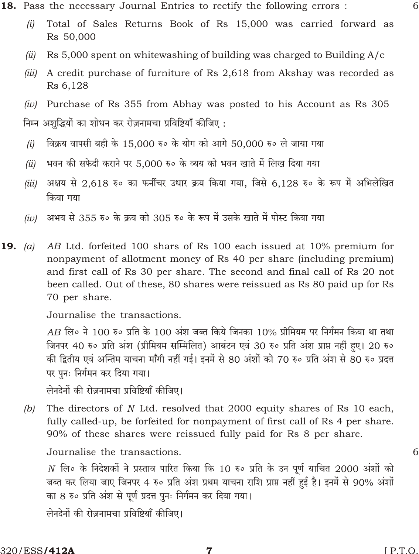- Total of Sales Returns Book of Rs 15,000 was carried forward as  $(i)$ Rs 50,000
- Rs 5,000 spent on white was hing of building was charged to Building  $A/c$  $(ii)$
- A credit purchase of furniture of Rs 2,618 from Akshay was recorded as  $(iii)$ Rs 6,128

 $(iv)$  Purchase of Rs 355 from Abhay was posted to his Account as Rs 305 निम्न अशुद्धियों का शोधन कर रोज़नामचा प्रविष्टियाँ कीजिए:

- विक्रय वापसी बही के 15,000 रु० के योग को आगे 50,000 रु० ले जाया गया  $(i)$
- भवन की सफेदी कराने पर 5,000 रु० के व्यय को भवन खाते में लिख दिया गया  $(ii)$
- अक्षय से 2,618 रु० का फर्नीचर उधार क्रय किया गया, जिसे 6,128 रु० के रूप में अभिलेखित  $(iii)$ किया गया
- (iv) अभय से 355 रु० के क्रय को 305 रु० के रूप में उसके खाते में पोस्ट किया गया
- AB Ltd. forfeited 100 shars of Rs 100 each issued at 10% premium for **19.** (a) nonpayment of allotment money of Rs 40 per share (including premium) and first call of Rs 30 per share. The second and final call of Rs 20 not been called. Out of these, 80 shares were reissued as Rs 80 paid up for Rs 70 per share.

Journalise the transactions.

 $AB$  लि॰ ने 100 रु॰ प्रति के 100 अंश जब्त किये जिनका 10% प्रीमियम पर निर्गमन किया था तथा जिनपर 40 रु॰ प्रति अंश (प्रीमियम सम्मिलित) आबंटन एवं 30 रु॰ प्रति अंश प्राप्त नहीं हुए। 20 रु॰ की द्वितीय एवं अन्तिम याचना माँगी नहीं गई। इनमें से 80 अंशों को 70 रु० प्रति अंश से 80 रु० प्रदत्त पर पुनः निर्गमन कर दिया गया।

लेनदेनों की रोज़नामचा प्रविष्टियाँ कीजिए।

The directors of N Ltd. resolved that 2000 equity shares of Rs 10 each,  $(b)$ fully called-up, be forfeited for nonpayment of first call of Rs 4 per share. 90% of these shares were reissued fully paid for Rs 8 per share.

Journalise the transactions.

 $N$  लि॰ के निदेशकों ने प्रस्ताव पारित किया कि 10 रु॰ प्रति के उन पूर्ण याचित 2000 अंशों को जब्त कर लिया जाए जिनपर 4 रु० प्रति अंश प्रथम याचना राशि प्राप्त नहीं हुई है। इनमें से 90% अंशों का 8 रु० प्रति अंश से पूर्ण प्रदत्त पुनः निर्गमन कर दिया गया।

लेनदेनों की रोज़नामचा प्रविष्टियाँ कीजिए।

6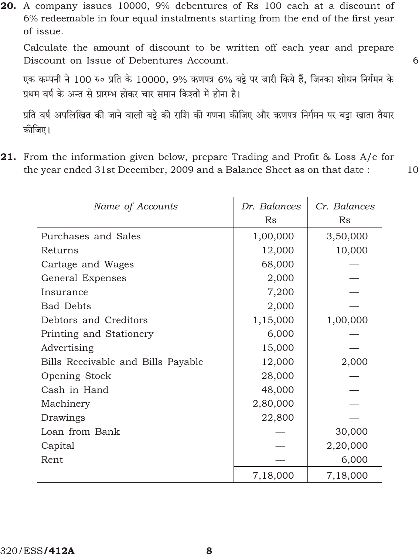20. A company issues 10000, 9% debentures of Rs 100 each at a discount of 6% redeemable in four equal instalments starting from the end of the first year of issue.

Calculate the amount of discount to be written off each year and prepare Discount on Issue of Debentures Account.

एक कम्पनी ने 100 रु० प्रति के 10000, 9% ऋणपत्र 6% बट्टे पर जारी किये हैं, जिनका शोधन निर्गमन के प्रथम वर्ष के अन्त से प्रारम्भ होकर चार समान किश्तों में होना है।

प्रति वर्ष अपलिखित की जाने वाली बड़े की राशि की गणना कीजिए और ऋणपत्र निर्गमन पर बड़ा खाता तैयार कीजिए।

**21.** From the information given below, prepare Trading and Profit & Loss  $A/c$  for the year ended 31st December, 2009 and a Balance Sheet as on that date:

| Name of Accounts                   | Dr. Balances<br>Rs | Cr. Balances<br>Rs |
|------------------------------------|--------------------|--------------------|
| Purchases and Sales                | 1,00,000           | 3,50,000           |
| Returns                            | 12,000             | 10,000             |
| Cartage and Wages                  | 68,000             |                    |
| General Expenses                   | 2,000              |                    |
| Insurance                          | 7,200              |                    |
| <b>Bad Debts</b>                   | 2,000              |                    |
| Debtors and Creditors              | 1,15,000           | 1,00,000           |
| Printing and Stationery            | 6,000              |                    |
| Advertising                        | 15,000             |                    |
| Bills Receivable and Bills Payable | 12,000             | 2,000              |
| Opening Stock                      | 28,000             |                    |
| Cash in Hand                       | 48,000             |                    |
| Machinery                          | 2,80,000           |                    |
| Drawings                           | 22,800             |                    |
| Loan from Bank                     |                    | 30,000             |
| Capital                            |                    | 2,20,000           |
| Rent                               |                    | 6,000              |
|                                    | 7,18,000           | 7,18,000           |

10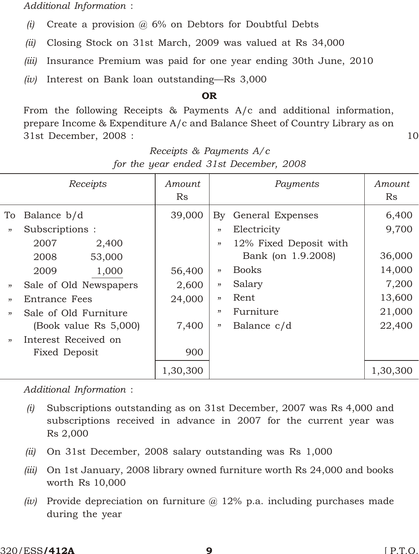*Additional Information* :

- *(i)* Create a provision @ 6% on Debtors for Doubtful Debts
- *(ii)* Closing Stock on 31st March, 2009 was valued at Rs 34,000
- *(iii)* Insurance Premium was paid for one year ending 30th June, 2010
- *(iv)* Interest on Bank loan outstanding—Rs 3,000

#### OR

From the following Receipts & Payments A/c and additional information, prepare Income & Expenditure A/c and Balance Sheet of Country Library as on 31st December, 2008 : 10

|      | Receipts               | Amount<br>Rs |     | Payments               | Amount<br>Rs |
|------|------------------------|--------------|-----|------------------------|--------------|
| To   | Balance b/d            | 39,000       |     | By General Expenses    | 6,400        |
| , 2  | Subscriptions:         |              | "   | Electricity            | 9,700        |
|      | 2007<br>2,400          |              | "   | 12% Fixed Deposit with |              |
|      | 53,000<br>2008         |              |     | Bank (on 1.9.2008)     | 36,000       |
|      | 2009<br>1,000          | 56,400       | , 2 | <b>Books</b>           | 14,000       |
| "    | Sale of Old Newspapers | 2,600        | , 2 | Salary                 | 7,200        |
| , 22 | Entrance Fees          | 24,000       | , 2 | Rent                   | 13,600       |
| , 22 | Sale of Old Furniture  |              | "   | Furniture              | 21,000       |
|      | (Book value Rs 5,000)  | 7,400        | "   | Balance c/d            | 22,400       |
| , 2  | Interest Received on   |              |     |                        |              |
|      | Fixed Deposit          | 900          |     |                        |              |
|      |                        | 1,30,300     |     |                        | 1,30,300     |

|  |  | Receipts & Payments $A/c$              |  |
|--|--|----------------------------------------|--|
|  |  | for the year ended 31st December, 2008 |  |

*Additional Information* :

- *(i)* Subscriptions outstanding as on 31st December, 2007 was Rs 4,000 and subscriptions received in advance in 2007 for the current year was Rs 2,000
- *(ii)* On 31st December, 2008 salary outstanding was Rs 1,000
- *(iii)* On 1st January, 2008 library owned furniture worth Rs 24,000 and books worth Rs 10,000
- *(iv)* Provide depreciation on furniture @ 12% p.a. including purchases made during the year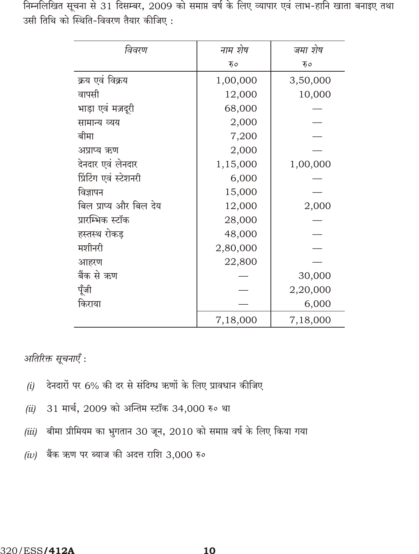निम्नलिखित सूचना से 31 दिसम्बर, 2009 को समाप्त वर्ष के लिए व्यापार एवं लाभ-हानि खाता बनाइए तथा उसी तिथि को स्थिति-विवरण तैयार कीजिए:

| विवरण                  | नाम शेष  | जमा शेष  |
|------------------------|----------|----------|
|                        | रु०      | रु०      |
| क्रय एवं विक्रय        | 1,00,000 | 3,50,000 |
| वापसी                  | 12,000   | 10,000   |
| भाड़ा एवं मज़दूरी      | 68,000   |          |
| सामान्य व्यय           | 2,000    |          |
| बीमा                   | 7,200    |          |
| अप्राप्य ऋण            | 2,000    |          |
| देनदार एवं लेनदार      | 1,15,000 | 1,00,000 |
| प्रिंटिंग एवं स्टेशनरी | 6,000    |          |
| विज्ञापन               | 15,000   |          |
| बिल प्राप्य और बिल देय | 12,000   | 2,000    |
| प्रारम्भिक स्टॉक       | 28,000   |          |
| हस्तस्थ रोकड           | 48,000   |          |
| मशीनरी                 | 2,80,000 |          |
| आहरण                   | 22,800   |          |
| बैंक से ऋण             |          | 30,000   |
| पूँजी                  |          | 2,20,000 |
| किराया                 |          | 6,000    |
|                        | 7,18,000 | 7,18,000 |

अतिरिक्त सूचनाएँ :

- देनदारों पर 6% की दर से संदिग्ध ऋणों के लिए प्रावधान कीजिए  $(i)$
- 31 मार्च, 2009 को अन्तिम स्टॉक 34,000 रु० था  $(ii)$
- बीमा प्रीमियम का भुगतान 30 जून, 2010 को समाप्त वर्ष के लिए किया गया  $(iii)$
- (iv) बैंक ऋण पर ब्याज की अदत्त राशि 3,000 रु०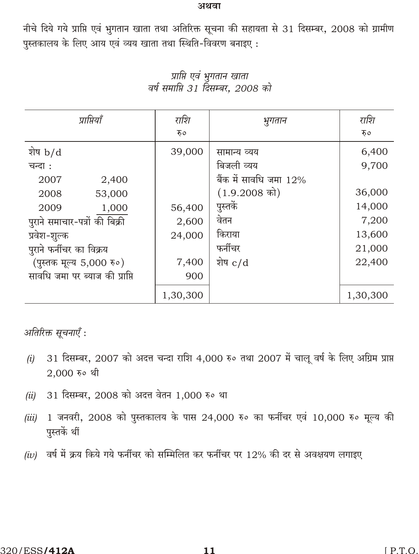#### अथवा

नीचे दिये गये प्राप्ति एवं भुगतान खाता तथा अतिरिक्त सूचना की सहायता से 31 दिसम्बर, 2008 को ग्रामीण पुस्तकालय के लिए आय एवं व्यय खाता तथा स्थिति-विवरण बनाइए:

| प्राप्तियाँ                    | राशि     | भुगतान                    | राशि     |
|--------------------------------|----------|---------------------------|----------|
|                                | रु०      |                           | रु०      |
| शेष $b/d$                      | 39,000   | सामान्य व्यय              | 6,400    |
| चन्दा :                        |          | बिजली व्यय                | 9,700    |
| 2007<br>2,400                  |          | बैंक में सावधि जमा $12\%$ |          |
| 2008<br>53,000                 |          | $(1.9.2008 \text{ m})$    | 36,000   |
| 1,000<br>2009                  | 56,400   | पुस्तकें                  | 14,000   |
| पुराने समाचार-पत्रों की बिक्री | 2,600    | वेतन                      | 7,200    |
| प्रवेश-शुल्क                   | 24,000   | किराया                    | 13,600   |
| पुराने फर्नीचर का विक्रय       |          | फर्नीचर                   | 21,000   |
| (पुस्तक मूल्य 5,000 रु०)       | 7,400    | शेष $c/d$                 | 22,400   |
| सावधि जमा पर ब्याज की प्राप्ति | 900      |                           |          |
|                                | 1,30,300 |                           | 1,30,300 |

प्राप्ति एवं भुगतान खाता वर्ष समाप्ति 31 दिसम्बर, 2008 को

अतिरिक्त सूचनाएँ :

- 31 दिसम्बर, 2007 को अदत्त चन्दा राशि 4,000 रु० तथा 2007 में चालू वर्ष के लिए अग्रिम प्राप्त  $(i)$  $2,000$  रु० थी
- 31 दिसम्बर, 2008 को अदत्त वेतन 1,000 रु० था  $(ii)$
- $1$  जनवरी, 2008 को पुस्तकालय के पास 24,000 रु० का फर्नीचर एवं 10,000 रु० मूल्य की  $(iii)$ पस्तकें थीं
- (iv) वर्ष में क्रय किये गये फर्नीचर को सम्मिलित कर फर्नीचर पर 12% की दर से अवक्षयण लगाइए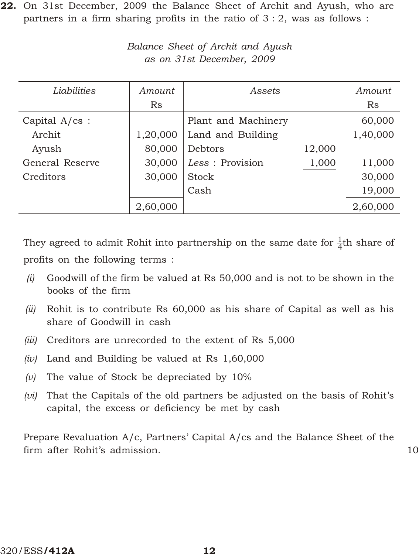22. On 31st December, 2009 the Balance Sheet of Archit and Ayush, who are partners in a firm sharing profits in the ratio of  $3:2$ , was as follows:

| Liabilities             | Amount   | Assets              |        | Amount   |
|-------------------------|----------|---------------------|--------|----------|
|                         | Rs       |                     |        | Rs       |
| Capital $A/\text{cs}$ : |          | Plant and Machinery |        | 60,000   |
| Archit                  | 1,20,000 | Land and Building   |        | 1,40,000 |
| Ayush                   | 80,000   | Debtors             | 12,000 |          |
| General Reserve         | 30,000   | Less : Provision    | 1,000  | 11,000   |
| Creditors               | 30,000   | Stock               |        | 30,000   |
|                         |          | Cash                |        | 19,000   |
|                         | 2,60,000 |                     |        | 2,60,000 |

*Bal ance Sheet of Archit and Ayush as on 31st De cem ber, 2009*

They agreed to admit Rohit into partnership on the same date for  $\frac{1}{4}$ th share of profits on the following terms :

- *(i)* Goodwill of the firm be valued at Rs 50,000 and is not to be shown in the books of the firm
- *(ii)* Rohit is to contribute Rs 60,000 as his share of Capital as well as his share of Goodwill in cash
- *(iii)* Creditors are unrecorded to the extent of Rs 5,000
- *(iv)* Land and Building be valued at Rs 1,60,000
- *(v)* The value of Stock be depreciated by 10%
- *(vi)* That the Capitals of the old partners be adjusted on the basis of Rohit's capital, the excess or deficiency be met by cash

Prepare Revaluation A/c, Partners' Capital A/cs and the Balance Sheet of the firm after Rohit's admission. 10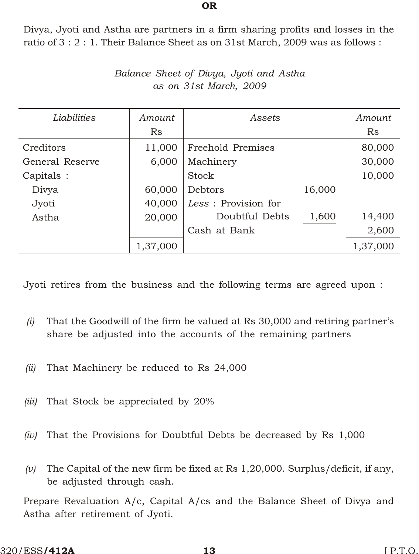Divya, Jyoti and Astha are partners in a firm sharing profits and losses in the ratio of 3 : 2 : 1. Their Balance Sheet as on 31st March, 2009 was as follows :

OR

| Liabilities     | Amount   | Assets               |        | Amount    |
|-----------------|----------|----------------------|--------|-----------|
|                 | Rs       |                      |        | <b>Rs</b> |
| Creditors       | 11,000   | Freehold Premises    |        | 80,000    |
| General Reserve | 6,000    | Machinery            |        | 30,000    |
| Capitals :      |          | Stock                |        | 10,000    |
| Divya           | 60,000   | Debtors              | 16,000 |           |
| Jyoti           | 40,000   | Less : Provision for |        |           |
| Astha           | 20,000   | Doubtful Debts       | 1,600  | 14,400    |
|                 |          | Cash at Bank         |        | 2,600     |
|                 | 1,37,000 |                      |        | 1,37,000  |

*Bal ance Sheet of Divya, Jyoti and Astha as on 31st March, 2009*

Jyoti retires from the business and the following terms are agreed upon :

- *(i)* That the Goodwill of the firm be valued at Rs 30,000 and retiring partner's share be adjusted into the accounts of the remaining partners
- *(ii)* That Machinery be reduced to Rs 24,000
- *(iii)* That Stock be appreciated by 20%
- *(iv)* That the Provisions for Doubtful Debts be decreased by Rs 1,000
- *(v)* The Capital of the new firm be fixed at Rs 1,20,000. Surplus/deficit, if any, be adjusted through cash.

Prepare Revaluation A/c, Capital A/cs and the Balance Sheet of Divya and Astha after retirement of Jyoti.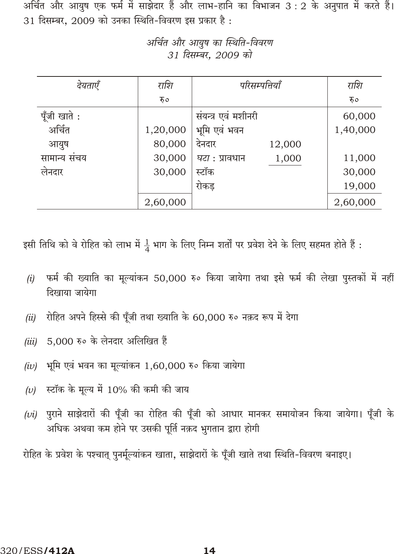अर्चित और आयुष एक फर्म में साझेदार हैं और लाभ-हानि का विभाजन 3 : 2 के अनुपात में करते हैं। 31 दिसम्बर, 2009 को उनका स्थिति-विवरण इस प्रकार है:

| देयताएँ     | राशि     | परिसम्पत्तियाँ                 | राशि     |
|-------------|----------|--------------------------------|----------|
|             | रु०      |                                | रु०      |
| पूँजी खाते: |          | संयन्त्र एवं मशीनरी            | 60,000   |
| अर्चित      | 1,20,000 | भूमि एवं भवन                   | 1,40,000 |
| आयुष        | 80,000   | देनदार<br>12,000               |          |
| सामान्य सचय | 30,000   | 1,000<br><i>घटा</i> : प्रावधान | 11,000   |
| लेनदार      | 30,000   | स्टॉक                          | 30,000   |
|             |          | रोकड                           | 19,000   |
|             | 2,60,000 |                                | 2,60,000 |

अर्चित और आयुष का स्थिति-विवरण 31 दिसम्बर, 2009 को

इसी तिथि को वे रोहित को लाभ में  $\frac{1}{4}$  भाग के लिए निम्न शर्तों पर प्रवेश देने के लिए सहमत होते हैं :

- फर्म की ख्याति का मूल्यांकन 50,000 रु० किया जायेगा तथा इसे फर्म की लेखा पुस्तकों में नहीं  $(i)$ दिखाया जायेगा
- रोहित अपने हिस्से की पूँजी तथा ख्याति के 60,000 रु० नक़द रूप में देगा  $(ii)$
- 5,000 रु० के लेनदार अलिखित हैं  $(iii)$
- भूमि एवं भवन का मूल्यांकन 1,60,000 रु० किया जायेगा  $(iv)$
- स्टॉक के मूल्य में 10% की कमी की जाय  $(v)$
- (vi) पुराने साझेदारों की पूँजी का रोहित की पूँजी को आधार मानकर समायोजन किया जायेगा। पूँजी के अधिक अथवा कम होने पर उसकी पूर्ति नक़द भुगतान द्वारा होगी

रोहित के प्रवेश के पश्चात् पुनर्मूल्यांकन खाता, साझेदारों के पूँजी खाते तथा स्थिति-विवरण बनाइए।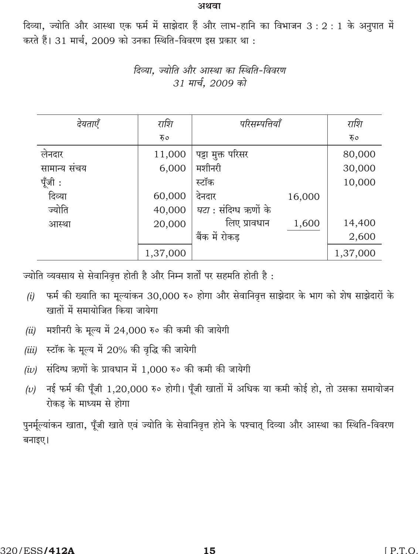#### अथवा

दिव्या, ज्योति और आस्था एक फर्म में साझेदार हैं और लाभ-हानि का विभाजन 3: 2: 1 के अनुपात में करते हैं। 31 मार्च, 2009 को उनका स्थिति-विवरण इस प्रकार था :

| देयताएँ     | राशि     | परिसम्पत्तियाँ               |        | राशि     |
|-------------|----------|------------------------------|--------|----------|
|             | रु०      |                              |        | रु०      |
| लेनदार      | 11,000   | पट्टा मुक्त परिसर            |        | 80,000   |
| सामान्य सचय | 6,000    | मशीनरी                       |        | 30,000   |
| पूँजी :     |          | स्टॉक                        |        | 10,000   |
| दिव्या      | 60,000   | देनदार                       | 16,000 |          |
| ज्योति      | 40,000   | <i>घटा</i> : संदिग्ध ऋणों के |        |          |
| आस्था       | 20,000   | लिए प्रावधान                 | 1,600  | 14,400   |
|             |          | बैंक में रोकड                |        | 2,600    |
|             | 1,37,000 |                              |        | 1,37,000 |

दिव्या. ज्योति और आस्था का स्थिति-विवरण 31 मार्च, 2009 को

ज्योति व्यवसाय से सेवानिवृत्त होती है और निम्न शर्तों पर सहमति होती है:

- फर्म की ख्याति का मूल्यांकन 30,000 रु० होगा और सेवानिवृत्त साझेदार के भाग को शेष साझेदारों के  $(i)$ खातों में समायोजित किया जायेगा
- मशीनरी के मूल्य में 24,000 रु० की कमी की जायेगी  $(ii)$
- स्टॉक के मूल्य में 20% की वृद्धि की जायेगी  $(iii)$
- संदिग्ध ऋणों के प्रावधान में 1,000 रु० की कमी की जायेगी  $(iv)$
- नई फर्म की पूँजी 1,20,000 रु० होगी। पूँजी खातों में अधिक या कमी कोई हो, तो उसका समायोजन  $(v)$ रोकड के माध्यम से होगा

पुनर्मूल्यांकन खाता, पूँजी खाते एवं ज्योति के सेवानिवृत्त होने के पश्चात् दिव्या और आस्था का स्थिति-विवरण बनाइए।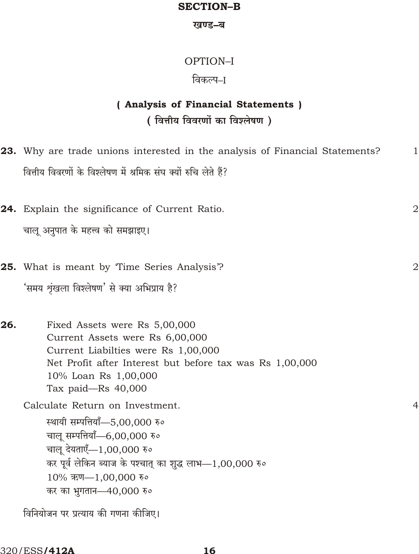### **SECTION-B**

#### खण्ड–ब

# OPTION-I

# विकल्प–I

# (Analysis of Financial Statements) (वित्तीय विवरणों का विश्लेषण)

|     | <b>23.</b> Why are trade unions interested in the analysis of Financial Statements?                                                                                                                                                             | 1              |
|-----|-------------------------------------------------------------------------------------------------------------------------------------------------------------------------------------------------------------------------------------------------|----------------|
|     | वित्तीय विवरणों के विश्लेषण में श्रमिक संघ क्यों रुचि लेते हैं?                                                                                                                                                                                 |                |
|     | 24. Explain the significance of Current Ratio.                                                                                                                                                                                                  | 2              |
|     | चालू अनुपात के महत्त्व को समझाइए।                                                                                                                                                                                                               |                |
|     | <b>25.</b> What is meant by Time Series Analysis?                                                                                                                                                                                               | $\overline{2}$ |
|     | 'समय श्रृंखला विश्लेषण' से क्या अभिप्राय है?                                                                                                                                                                                                    |                |
| 26. | Fixed Assets were Rs 5,00,000<br>Current Assets were Rs 6,00,000<br>Current Liabilties were Rs 1,00,000<br>Net Profit after Interest but before tax was Rs 1,00,000<br>10% Loan Rs 1,00,000<br>Tax paid-Rs $40,000$                             |                |
|     | Calculate Return on Investment.<br>स्थायी सम्पत्तियाँ—5,00,000 रु०<br>चालू सम्पत्तियाँ-6,00,000 रु०<br>चालू देयताएँ—1,00,000 रु०<br>कर पूर्व लेकिन ब्याज के पश्चात् का शुद्ध लाभ—1,00,000 रु०<br>10% ऋण-1,00,000 रु०<br>कर का भुगतान—40,000 रु० | $\overline{4}$ |
|     | विनियोजन पर प्रत्याय की गणना कीजिए।                                                                                                                                                                                                             |                |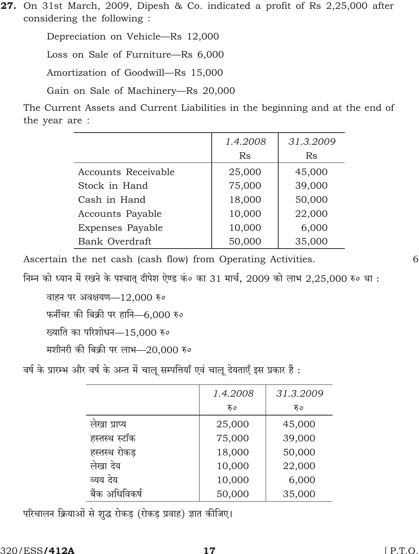27. On 31st March, 2009, Dipesh & Co. indicated a profit of Rs 2,25,000 after considering the following :

Depreciation on Vehicle-Rs 12,000

Loss on Sale of Furniture-Rs 6,000

Amortization of Goodwill-Rs 15,000

Gain on Sale of Machinery-Rs 20,000

The Current Assets and Current Liabilities in the beginning and at the end of the year are :

|                         | 1.4.2008 | 31.3.2009 |
|-------------------------|----------|-----------|
|                         | Rs       | Rs        |
| Accounts Receivable     | 25,000   | 45,000    |
| Stock in Hand           | 75,000   | 39,000    |
| Cash in Hand            | 18,000   | 50,000    |
| Accounts Payable        | 10,000   | 22,000    |
| <b>Expenses Payable</b> | 10,000   | 6,000     |
| Bank Overdraft          | 50,000   | 35,000    |

Ascertain the net cash (cash flow) from Operating Activities.

6

निम्न को ध्यान में रखने के पश्चातु दीपेश ऐण्ड कं० का 31 मार्च, 2009 को लाभ 2,25,000 रु० था :

वाहन पर अवक्षयण-12,000 रु०

फर्नीचर की बिक्री पर हानि-6,000 रु०

ख्याति का परिशोधन-15,000 रु०

मशीनरी की बिक्री पर लाभ—20,000 रु०

वर्ष के प्रारम्भ और वर्ष के अन्त में चालू सम्पत्तियाँ एवं चालू देयताएँ इस प्रकार हैं :

|                | 1.4.2008 | 31.3.2009 |
|----------------|----------|-----------|
|                | रु०      | रु०       |
| लेखा प्राप्य   | 25,000   | 45,000    |
| हस्तस्थ स्टॉक  | 75,000   | 39,000    |
| हस्तस्थ रोकड़  | 18,000   | 50,000    |
| लेखा देय       | 10,000   | 22,000    |
| व्यय देय       | 10,000   | 6,000     |
| बैंक अधिविकर्ष | 50,000   | 35,000    |

परिचालन क्रियाओं से शुद्ध रोकड़ (रोकड़ प्रवाह) ज्ञात कीजिए।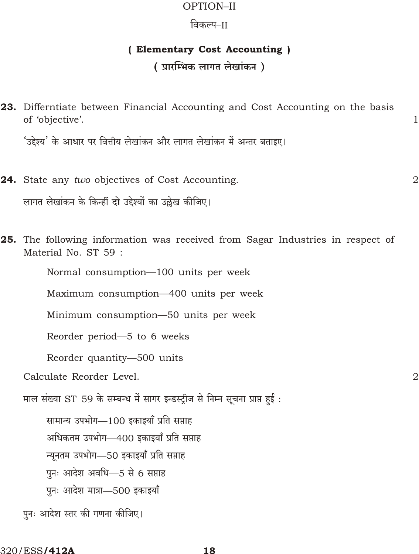### OPTION-II

## विकल्प–II

### (Elementary Cost Accounting)

# (प्रारम्भिक लागत लेखांकन)

 $\mathbf{1}$ 

 $\overline{2}$ 

 $\overline{2}$ 

| 23. Differntiate between Financial Accounting and Cost Accounting on the basis<br>of 'objective'.      |
|--------------------------------------------------------------------------------------------------------|
| 'उद्देश्य' के आधार पर वित्तीय लेखांकन और लागत लेखांकन में अन्तर बताइए।                                 |
| 24. State any two objectives of Cost Accounting.                                                       |
| लागत लेखांकन के किन्हीं <b>दो</b> उद्देश्यों का उल्लेख कीजिए।                                          |
| 25. The following information was received from Sagar Industries in respect of<br>Material No. ST 59 : |
| Normal consumption—100 units per week                                                                  |
| Maximum consumption—400 units per week                                                                 |
| Minimum consumption-50 units per week                                                                  |
| Reorder period-5 to 6 weeks                                                                            |
| Reorder quantity-500 units                                                                             |
| Calculate Reorder Level.                                                                               |
| माल संख्या ST 59 के सम्बन्ध में सागर इन्डस्ट्रीज से निम्न सूचना प्राप्त हुई :                          |
| सामान्य उपभोग—100 इकाइयाँ प्रति सप्ताह                                                                 |
| अधिकतम उपभोग—400 इकाइयाँ प्रति सप्ताह                                                                  |
| न्यूनतम उपभोग—50 इकाइयाँ प्रति सप्ताह                                                                  |
| पुनः आदेश अवधि—5 से 6 सप्ताह                                                                           |
| पुनः आदेश मात्रा-500 इकाइयाँ                                                                           |

पुनः आदेश स्तर की गणना कीजिए।